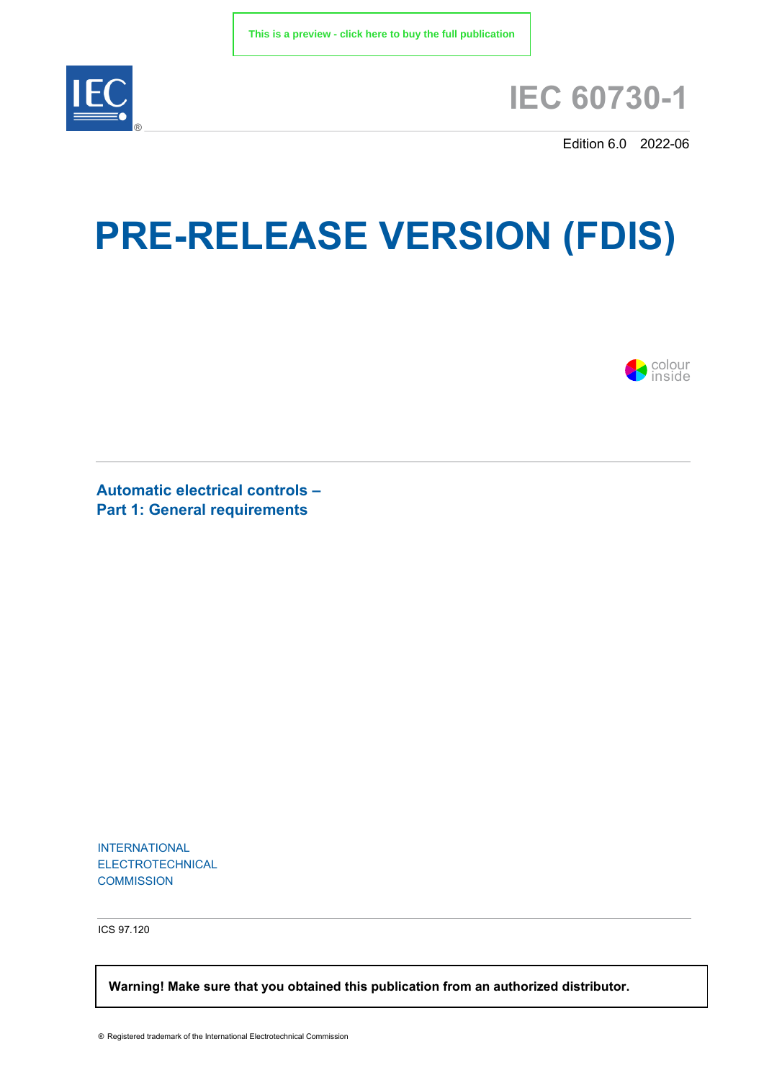

# **IEC 60730-1**

Edition 6.0 2022-06

# **PRE-RELEASE VERSION (FDIS)**



**Automatic electrical controls – Part 1: General requirements**

INTERNATIONAL ELECTROTECHNICAL **COMMISSION** 

ICS 97.120

 **Warning! Make sure that you obtained this publication from an authorized distributor.**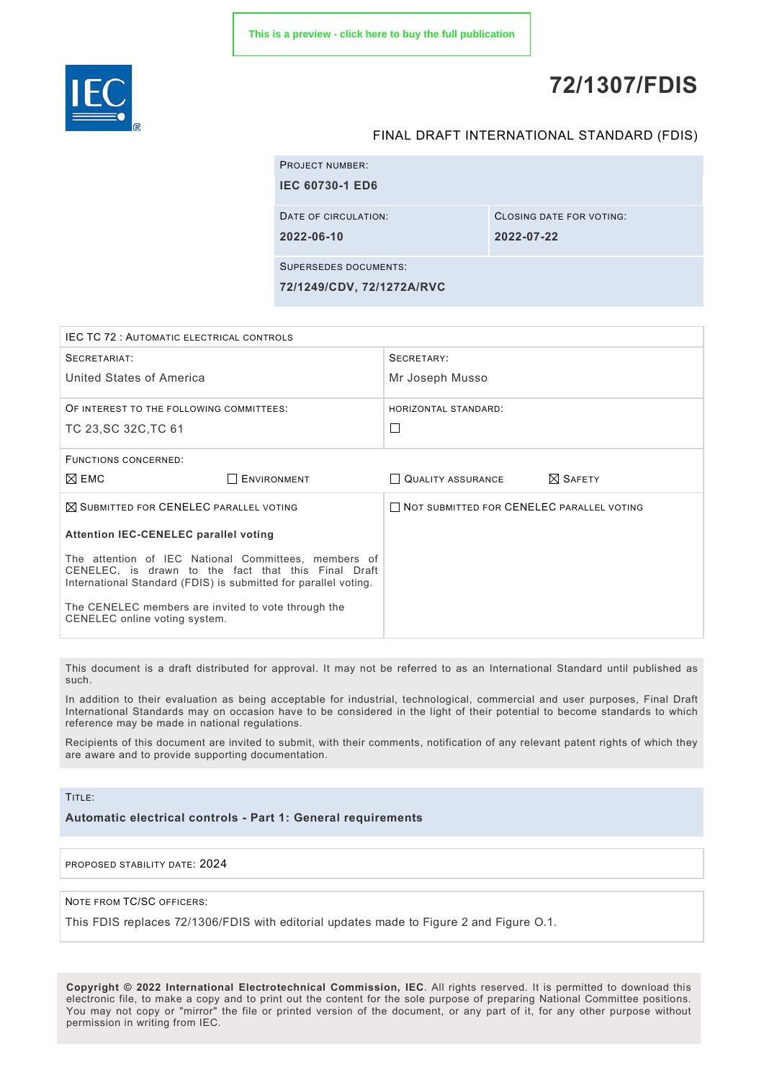

## **72/1307/FDIS**

#### FINAL DRAFT INTERNATIONAL STANDARD (FDIS)

| <b>PROJECT NUMBER:</b>       |                          |
|------------------------------|--------------------------|
| <b>IEC 60730-1 ED6</b>       |                          |
|                              |                          |
| DATE OF CIRCULATION:         | CLOSING DATE FOR VOTING: |
| 2022-06-10                   | 2022-07-22               |
| <b>SUPERSEDES DOCUMENTS:</b> |                          |
|                              |                          |

**72/1249/CDV, 72/1272A/RVC**

| <b>IEC TC 72: AUTOMATIC ELECTRICAL CONTROLS</b>                                                                                                                                |                    |                                                  |                    |
|--------------------------------------------------------------------------------------------------------------------------------------------------------------------------------|--------------------|--------------------------------------------------|--------------------|
| SECRETARIAT:                                                                                                                                                                   |                    | SECRETARY:                                       |                    |
| United States of America                                                                                                                                                       |                    | Mr Joseph Musso                                  |                    |
| OF INTEREST TO THE FOLLOWING COMMITTEES:                                                                                                                                       |                    | HORIZONTAL STANDARD:                             |                    |
| TC 23, SC 32C, TC 61                                                                                                                                                           |                    | □                                                |                    |
| FUNCTIONS CONCERNED:                                                                                                                                                           |                    |                                                  |                    |
| $\boxtimes$ EMC                                                                                                                                                                | <b>ENVIRONMENT</b> | QUALITY ASSURANCE                                | $\boxtimes$ Safety |
| $\boxtimes$ SUBMITTED FOR CENELEC PARALLEL VOTING                                                                                                                              |                    | <b>NOT SUBMITTED FOR CENELEC PARALLEL VOTING</b> |                    |
| <b>Attention IEC-CENELEC parallel voting</b>                                                                                                                                   |                    |                                                  |                    |
| The attention of IEC National Committees, members of<br>CENELEC, is drawn to the fact that this Final Draft<br>International Standard (FDIS) is submitted for parallel voting. |                    |                                                  |                    |
| The CENELEC members are invited to vote through the<br>CENELEC online voting system.                                                                                           |                    |                                                  |                    |

This document is a draft distributed for approval. It may not be referred to as an International Standard until published as such.

In addition to their evaluation as being acceptable for industrial, technological, commercial and user purposes, Final Draft International Standards may on occasion have to be considered in the light of their potential to become standards to which reference may be made in national regulations.

Recipients of this document are invited to submit, with their comments, notification of any relevant patent rights of which they are aware and to provide supporting documentation.

#### TITLE:

**Automatic electrical controls - Part 1: General requirements**

PROPOSED STABILITY DATE: 2024

NOTE FROM TC/SC OFFICERS:

This FDIS replaces 72/1306/FDIS with editorial updates made to Figure 2 and Figure O.1.

**Copyright © 2022 International Electrotechnical Commission, IEC**. All rights reserved. It is permitted to download this electronic file, to make a copy and to print out the content for the sole purpose of preparing National Committee positions. You may not copy or "mirror" the file or printed version of the document, or any part of it, for any other purpose without permission in writing from IEC.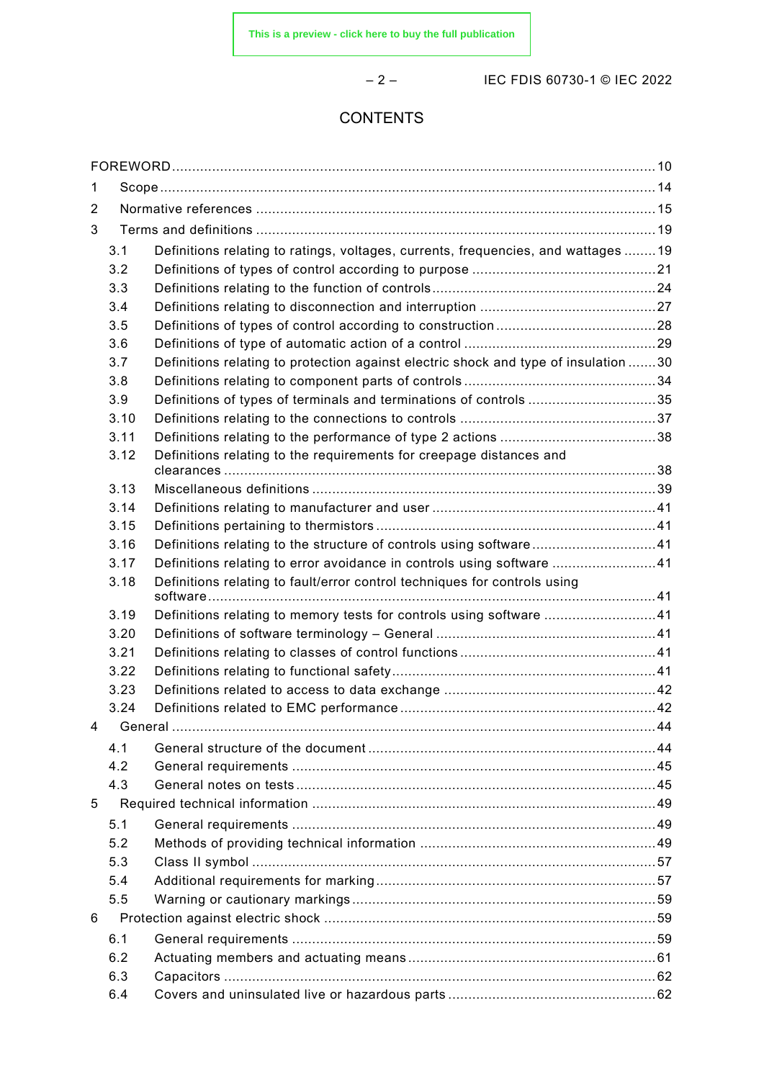– 2 – IEC FDIS 60730-1 © IEC 2022

### **CONTENTS**

| 1 |      |                                                                                     |  |
|---|------|-------------------------------------------------------------------------------------|--|
| 2 |      |                                                                                     |  |
| 3 |      |                                                                                     |  |
|   | 3.1  | Definitions relating to ratings, voltages, currents, frequencies, and wattages 19   |  |
|   | 3.2  |                                                                                     |  |
|   | 3.3  |                                                                                     |  |
|   | 3.4  |                                                                                     |  |
|   | 3.5  |                                                                                     |  |
|   | 3.6  |                                                                                     |  |
|   | 3.7  | Definitions relating to protection against electric shock and type of insulation 30 |  |
|   | 3.8  |                                                                                     |  |
|   | 3.9  | Definitions of types of terminals and terminations of controls 35                   |  |
|   | 3.10 |                                                                                     |  |
|   | 3.11 |                                                                                     |  |
|   | 3.12 | Definitions relating to the requirements for creepage distances and                 |  |
|   | 3.13 |                                                                                     |  |
|   | 3.14 |                                                                                     |  |
|   | 3.15 |                                                                                     |  |
|   | 3.16 | Definitions relating to the structure of controls using software41                  |  |
|   | 3.17 | Definitions relating to error avoidance in controls using software 41               |  |
|   | 3.18 | Definitions relating to fault/error control techniques for controls using           |  |
|   |      |                                                                                     |  |
|   | 3.19 | Definitions relating to memory tests for controls using software 41                 |  |
|   | 3.20 |                                                                                     |  |
|   | 3.21 |                                                                                     |  |
|   | 3.22 |                                                                                     |  |
|   | 3.23 |                                                                                     |  |
|   | 3.24 |                                                                                     |  |
| 4 |      |                                                                                     |  |
|   | 4.1  |                                                                                     |  |
|   | 4.2  |                                                                                     |  |
|   | 4.3  |                                                                                     |  |
| 5 |      |                                                                                     |  |
|   | 5.1  |                                                                                     |  |
|   | 5.2  |                                                                                     |  |
|   | 5.3  |                                                                                     |  |
|   | 5.4  |                                                                                     |  |
|   | 5.5  |                                                                                     |  |
| 6 |      |                                                                                     |  |
|   | 6.1  |                                                                                     |  |
|   | 6.2  |                                                                                     |  |
|   | 6.3  |                                                                                     |  |
|   | 6.4  |                                                                                     |  |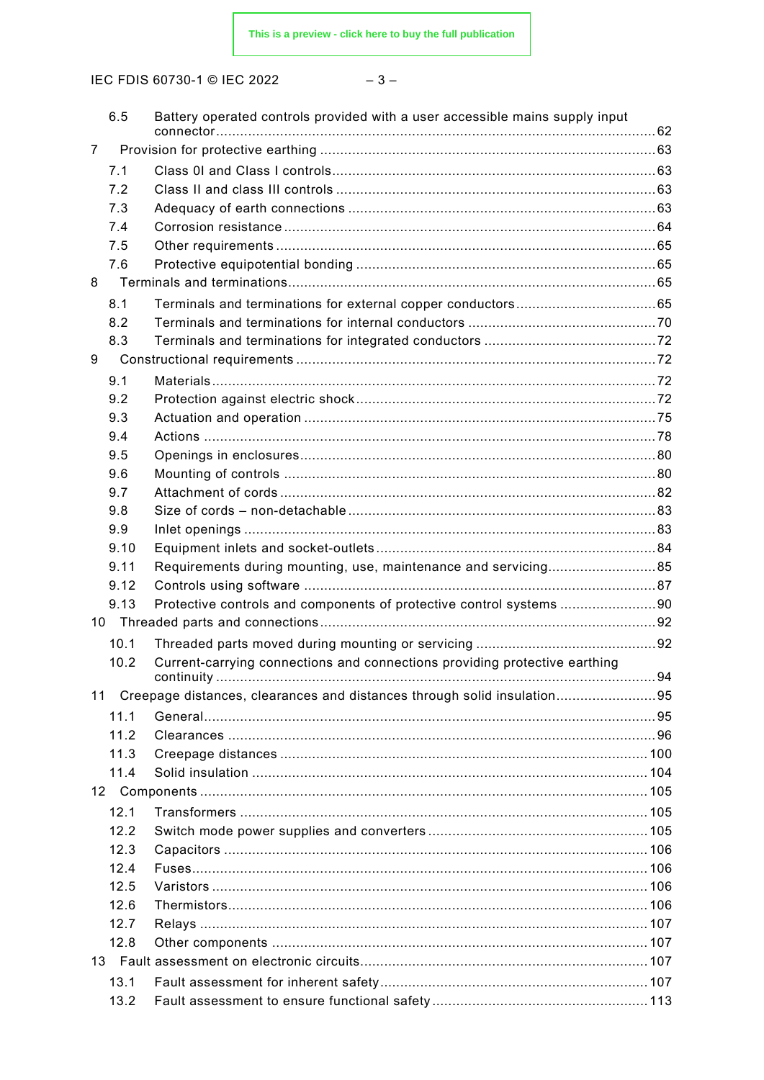$$
-\;3\;-\;
$$

|    | 6.5          | Battery operated controls provided with a user accessible mains supply input |  |
|----|--------------|------------------------------------------------------------------------------|--|
| 7  |              |                                                                              |  |
|    | 7.1          |                                                                              |  |
|    | 7.2          |                                                                              |  |
|    | 7.3          |                                                                              |  |
|    | 7.4          |                                                                              |  |
|    | 7.5          |                                                                              |  |
|    | 7.6          |                                                                              |  |
| 8  |              |                                                                              |  |
|    | 8.1          |                                                                              |  |
|    | 8.2          |                                                                              |  |
|    | 8.3          |                                                                              |  |
| 9  |              |                                                                              |  |
|    | 9.1          |                                                                              |  |
|    | 9.2          |                                                                              |  |
|    | 9.3          |                                                                              |  |
|    | 9.4          |                                                                              |  |
|    | 9.5          |                                                                              |  |
|    | 9.6          |                                                                              |  |
|    | 9.7          |                                                                              |  |
|    | 9.8          |                                                                              |  |
|    | 9.9          |                                                                              |  |
|    | 9.10         |                                                                              |  |
|    | 9.11         | Requirements during mounting, use, maintenance and servicing85               |  |
|    | 9.12         |                                                                              |  |
|    | 9.13         | Protective controls and components of protective control systems 90          |  |
|    |              |                                                                              |  |
|    |              |                                                                              |  |
|    | 10.1         |                                                                              |  |
|    | 10.2         | Current-carrying connections and connections providing protective earthing   |  |
| 11 |              | Creepage distances, clearances and distances through solid insulation95      |  |
|    | 11.1         |                                                                              |  |
|    | 11.2         |                                                                              |  |
|    | 11.3         |                                                                              |  |
|    | 11.4         |                                                                              |  |
|    |              |                                                                              |  |
|    | 12.1         |                                                                              |  |
|    | 12.2         |                                                                              |  |
|    |              |                                                                              |  |
|    | 12.3<br>12.4 |                                                                              |  |
|    |              |                                                                              |  |
|    | 12.5<br>12.6 |                                                                              |  |
|    | 12.7         |                                                                              |  |
|    | 12.8         |                                                                              |  |
|    |              |                                                                              |  |
|    |              |                                                                              |  |
|    | 13.1         |                                                                              |  |
|    | 13.2         |                                                                              |  |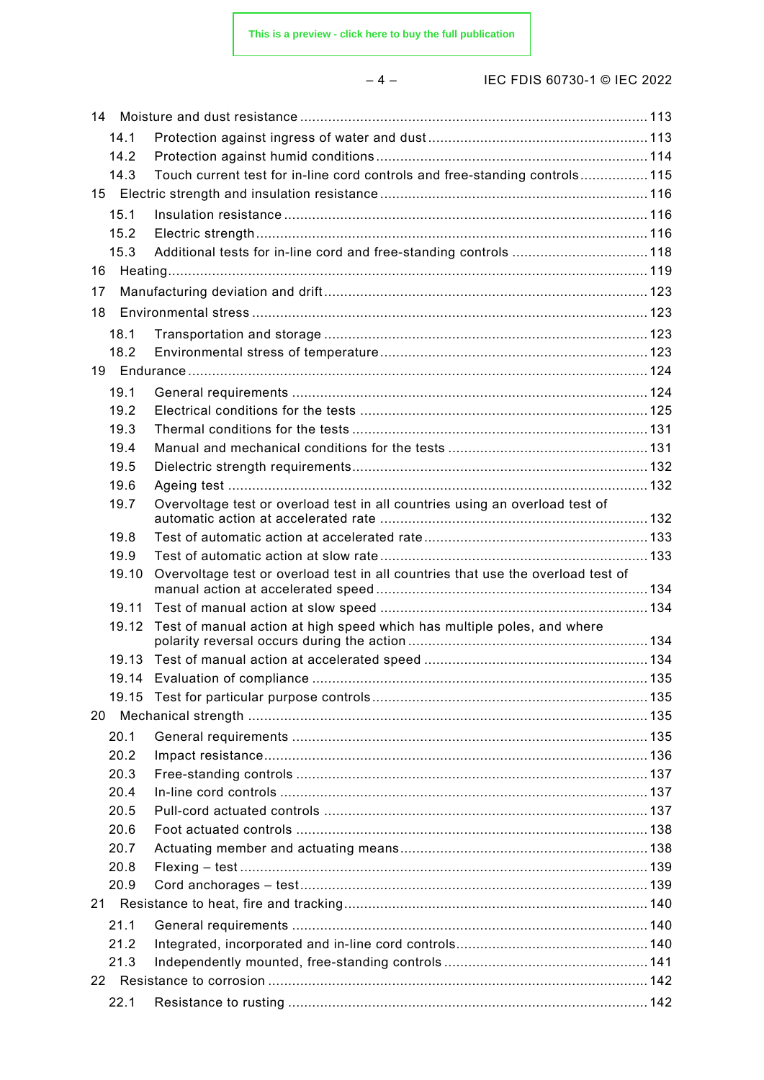– 4 – IEC FDIS 60730-1 © IEC 2022

| 14    |                                                                                  |  |
|-------|----------------------------------------------------------------------------------|--|
| 14.1  |                                                                                  |  |
| 14.2  |                                                                                  |  |
| 14.3  | Touch current test for in-line cord controls and free-standing controls115       |  |
|       |                                                                                  |  |
| 15.1  |                                                                                  |  |
| 15.2  |                                                                                  |  |
| 15.3  |                                                                                  |  |
| 16    |                                                                                  |  |
| 17    |                                                                                  |  |
| 18    |                                                                                  |  |
| 18.1  |                                                                                  |  |
| 18.2  |                                                                                  |  |
|       |                                                                                  |  |
| 19.1  |                                                                                  |  |
| 19.2  |                                                                                  |  |
| 19.3  |                                                                                  |  |
| 19.4  |                                                                                  |  |
| 19.5  |                                                                                  |  |
| 19.6  |                                                                                  |  |
| 19.7  | Overvoltage test or overload test in all countries using an overload test of     |  |
| 19.8  |                                                                                  |  |
| 19.9  |                                                                                  |  |
|       |                                                                                  |  |
| 19.10 | Overvoltage test or overload test in all countries that use the overload test of |  |
| 19.11 |                                                                                  |  |
| 19.12 | Test of manual action at high speed which has multiple poles, and where          |  |
| 19.13 |                                                                                  |  |
| 19.14 |                                                                                  |  |
|       |                                                                                  |  |
| 20    |                                                                                  |  |
| 20.1  |                                                                                  |  |
| 20.2  |                                                                                  |  |
| 20.3  |                                                                                  |  |
| 20.4  |                                                                                  |  |
| 20.5  |                                                                                  |  |
| 20.6  |                                                                                  |  |
| 20.7  |                                                                                  |  |
| 20.8  |                                                                                  |  |
| 20.9  |                                                                                  |  |
| 21    |                                                                                  |  |
| 21.1  |                                                                                  |  |
| 21.2  |                                                                                  |  |
| 21.3  |                                                                                  |  |
| 22.1  |                                                                                  |  |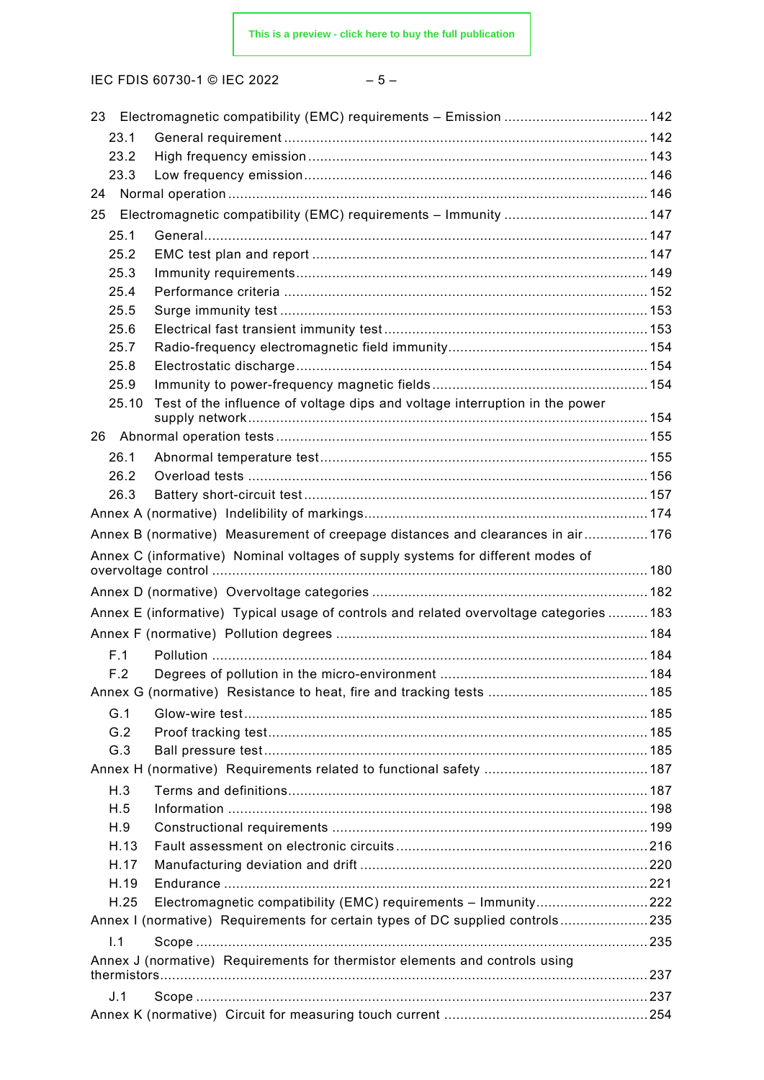IEC FDIS 60730-1 © IEC 2022 – 5 –

| 23.          | Electromagnetic compatibility (EMC) requirements - Emission 142                         |  |
|--------------|-----------------------------------------------------------------------------------------|--|
| 23.1         |                                                                                         |  |
| 23.2         |                                                                                         |  |
| 23.3         |                                                                                         |  |
| 24           |                                                                                         |  |
| 25           | Electromagnetic compatibility (EMC) requirements - Immunity  147                        |  |
| 25.1         |                                                                                         |  |
| 25.2         |                                                                                         |  |
| 25.3         |                                                                                         |  |
| 25.4         |                                                                                         |  |
| 25.5         |                                                                                         |  |
| 25.6         |                                                                                         |  |
| 25.7         |                                                                                         |  |
| 25.8         |                                                                                         |  |
| 25.9         |                                                                                         |  |
| 25.10        | Test of the influence of voltage dips and voltage interruption in the power             |  |
| 26           |                                                                                         |  |
|              |                                                                                         |  |
| 26.1<br>26.2 |                                                                                         |  |
|              |                                                                                         |  |
| 26.3         |                                                                                         |  |
|              |                                                                                         |  |
|              | Annex B (normative) Measurement of creepage distances and clearances in air176          |  |
|              | Annex C (informative) Nominal voltages of supply systems for different modes of         |  |
|              |                                                                                         |  |
|              | Annex E (informative) Typical usage of controls and related overvoltage categories  183 |  |
|              |                                                                                         |  |
| F.1          |                                                                                         |  |
| F.2          |                                                                                         |  |
|              |                                                                                         |  |
| G.1          |                                                                                         |  |
| G.2          |                                                                                         |  |
| G.3          |                                                                                         |  |
|              |                                                                                         |  |
| H.3          |                                                                                         |  |
| H.5          |                                                                                         |  |
| H.9          |                                                                                         |  |
| H.13         |                                                                                         |  |
| H.17         |                                                                                         |  |
| H.19         |                                                                                         |  |
| H.25         | Electromagnetic compatibility (EMC) requirements - Immunity222                          |  |
|              | Annex I (normative) Requirements for certain types of DC supplied controls235           |  |
| 1.1          |                                                                                         |  |
|              | Annex J (normative) Requirements for thermistor elements and controls using             |  |
|              |                                                                                         |  |
| J.1          |                                                                                         |  |
|              |                                                                                         |  |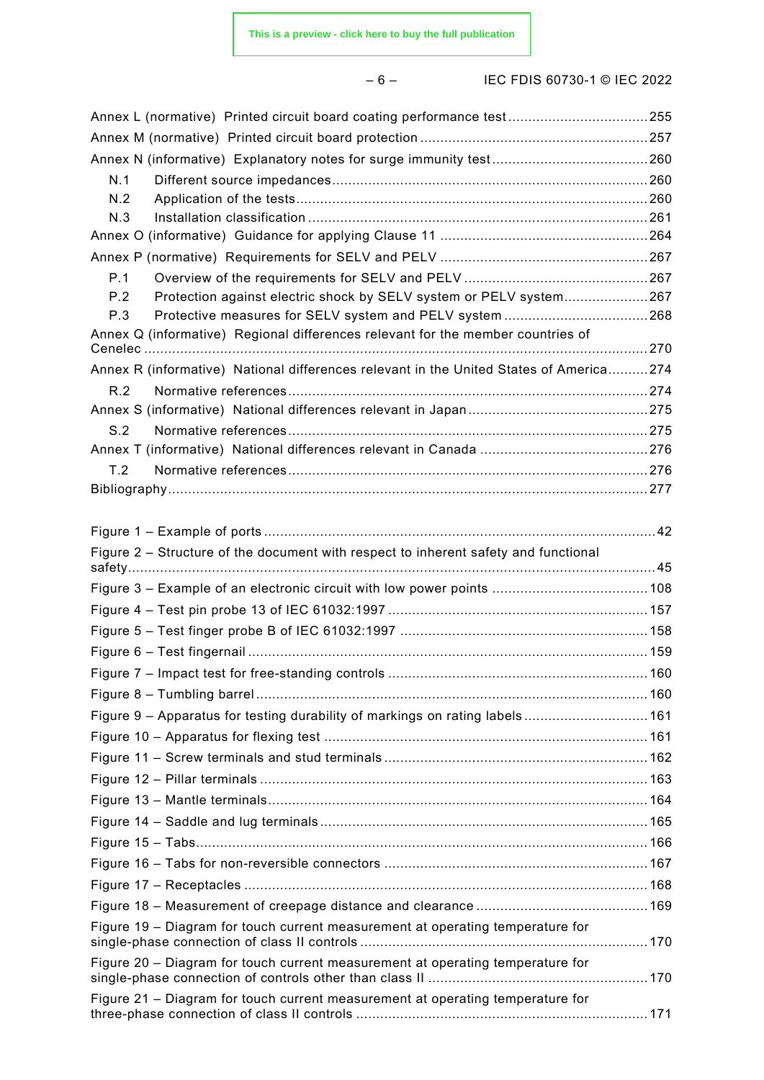– 6 – IEC FDIS 60730-1 © IEC 2022

| Annex L (normative) Printed circuit board coating performance test255                  |  |
|----------------------------------------------------------------------------------------|--|
|                                                                                        |  |
|                                                                                        |  |
| N.1                                                                                    |  |
| N.2                                                                                    |  |
| N.3                                                                                    |  |
|                                                                                        |  |
|                                                                                        |  |
| P.1                                                                                    |  |
| Protection against electric shock by SELV system or PELV system267<br>P.2              |  |
| P.3                                                                                    |  |
| Annex Q (informative) Regional differences relevant for the member countries of        |  |
| Annex R (informative) National differences relevant in the United States of America274 |  |
| R.2                                                                                    |  |
|                                                                                        |  |
| S.2                                                                                    |  |
|                                                                                        |  |
| T.2                                                                                    |  |
|                                                                                        |  |
|                                                                                        |  |
|                                                                                        |  |
| Figure 2 – Structure of the document with respect to inherent safety and functional    |  |
|                                                                                        |  |
|                                                                                        |  |
|                                                                                        |  |
|                                                                                        |  |
|                                                                                        |  |
|                                                                                        |  |
|                                                                                        |  |
| Figure 9 - Apparatus for testing durability of markings on rating labels 161           |  |
|                                                                                        |  |
|                                                                                        |  |
|                                                                                        |  |
|                                                                                        |  |
|                                                                                        |  |
|                                                                                        |  |
|                                                                                        |  |
|                                                                                        |  |
|                                                                                        |  |
| Figure 19 - Diagram for touch current measurement at operating temperature for         |  |
| Figure 20 - Diagram for touch current measurement at operating temperature for         |  |
| Figure 21 – Diagram for touch current measurement at operating temperature for         |  |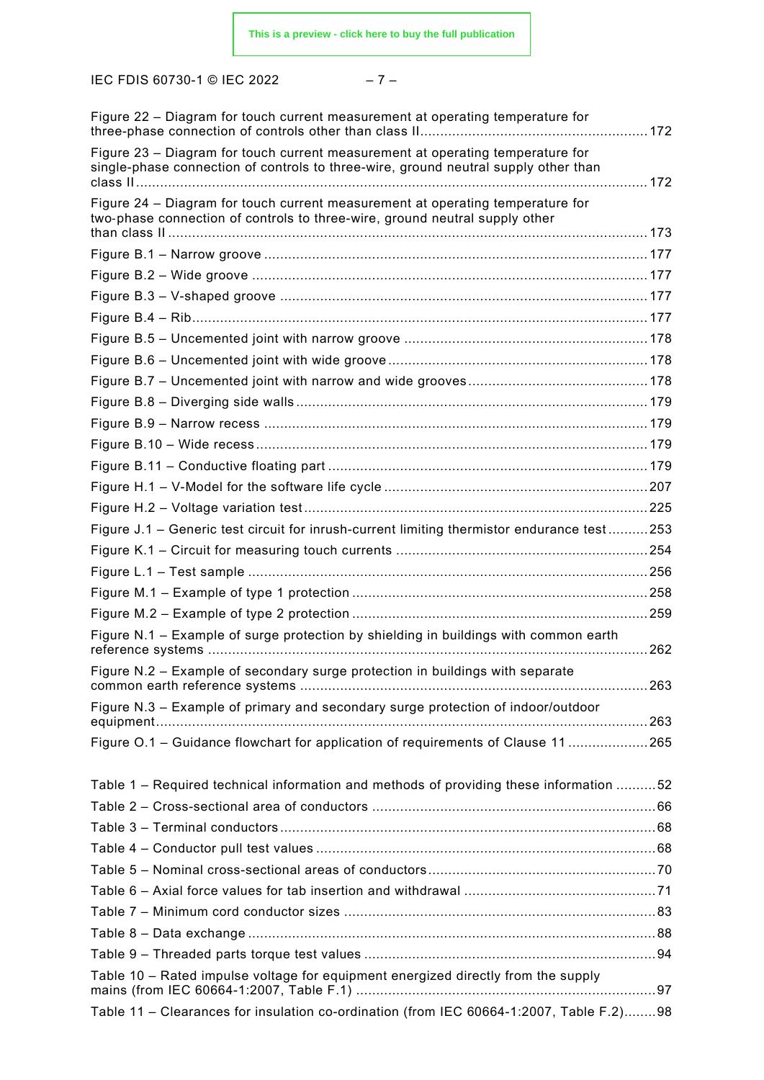| Figure 22 – Diagram for touch current measurement at operating temperature for                                                                                        |  |
|-----------------------------------------------------------------------------------------------------------------------------------------------------------------------|--|
| Figure 23 – Diagram for touch current measurement at operating temperature for<br>single-phase connection of controls to three-wire, ground neutral supply other than |  |
| Figure 24 - Diagram for touch current measurement at operating temperature for                                                                                        |  |
| two-phase connection of controls to three-wire, ground neutral supply other                                                                                           |  |
|                                                                                                                                                                       |  |
|                                                                                                                                                                       |  |
|                                                                                                                                                                       |  |
|                                                                                                                                                                       |  |
|                                                                                                                                                                       |  |
|                                                                                                                                                                       |  |
|                                                                                                                                                                       |  |
|                                                                                                                                                                       |  |
|                                                                                                                                                                       |  |
|                                                                                                                                                                       |  |
|                                                                                                                                                                       |  |
|                                                                                                                                                                       |  |
|                                                                                                                                                                       |  |
| Figure J.1 - Generic test circuit for inrush-current limiting thermistor endurance test253                                                                            |  |
|                                                                                                                                                                       |  |
|                                                                                                                                                                       |  |
|                                                                                                                                                                       |  |
|                                                                                                                                                                       |  |
| Figure N.1 - Example of surge protection by shielding in buildings with common earth                                                                                  |  |
| Figure N.2 - Example of secondary surge protection in buildings with separate                                                                                         |  |
| Figure N.3 - Example of primary and secondary surge protection of indoor/outdoor                                                                                      |  |
| Figure O.1 - Guidance flowchart for application of requirements of Clause 11 265                                                                                      |  |
| Table 1 – Required technical information and methods of providing these information 52                                                                                |  |
|                                                                                                                                                                       |  |
|                                                                                                                                                                       |  |
|                                                                                                                                                                       |  |
|                                                                                                                                                                       |  |
|                                                                                                                                                                       |  |
|                                                                                                                                                                       |  |
|                                                                                                                                                                       |  |
|                                                                                                                                                                       |  |
| Table 10 - Rated impulse voltage for equipment energized directly from the supply                                                                                     |  |
| Table 11 - Clearances for insulation co-ordination (from IEC 60664-1:2007, Table F.2)98                                                                               |  |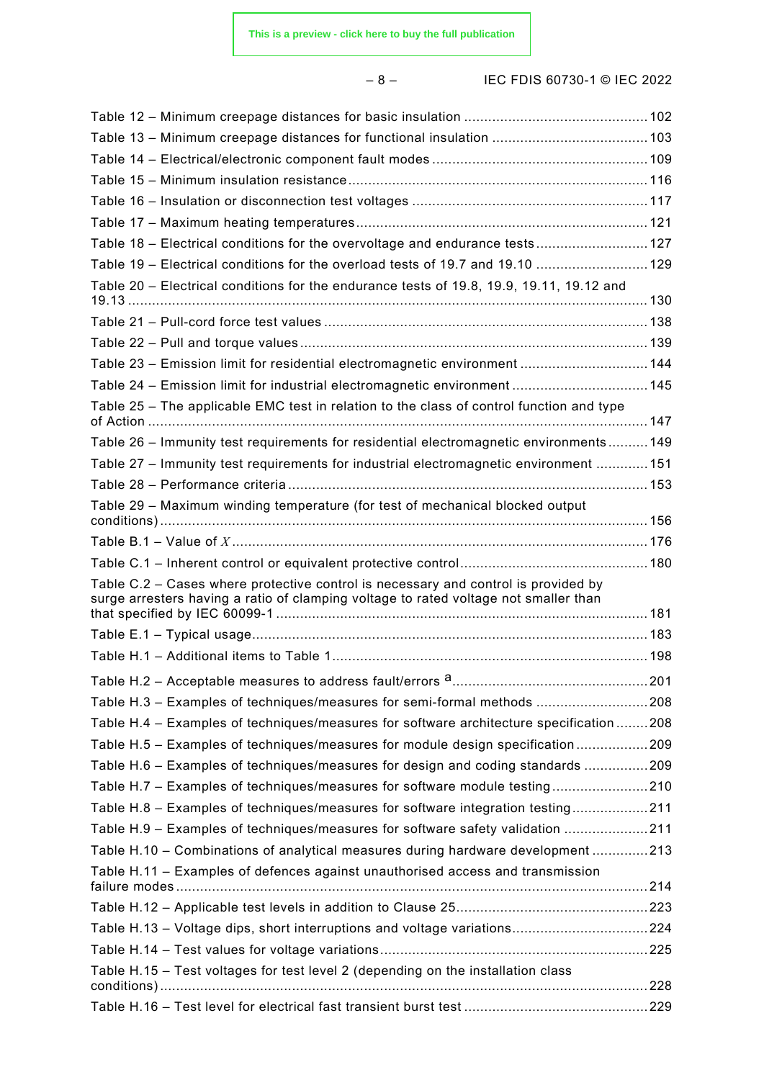– 8 – IEC FDIS 60730-1 © IEC 2022

| Table 18 - Electrical conditions for the overvoltage and endurance tests 127                                                                                               |  |
|----------------------------------------------------------------------------------------------------------------------------------------------------------------------------|--|
| Table 19 - Electrical conditions for the overload tests of 19.7 and 19.10  129                                                                                             |  |
| Table 20 - Electrical conditions for the endurance tests of 19.8, 19.9, 19.11, 19.12 and                                                                                   |  |
|                                                                                                                                                                            |  |
|                                                                                                                                                                            |  |
| Table 23 - Emission limit for residential electromagnetic environment  144                                                                                                 |  |
| Table 24 - Emission limit for industrial electromagnetic environment 145                                                                                                   |  |
| Table 25 - The applicable EMC test in relation to the class of control function and type                                                                                   |  |
| Table 26 - Immunity test requirements for residential electromagnetic environments 149                                                                                     |  |
| Table 27 – Immunity test requirements for industrial electromagnetic environment 151                                                                                       |  |
|                                                                                                                                                                            |  |
| Table 29 - Maximum winding temperature (for test of mechanical blocked output                                                                                              |  |
|                                                                                                                                                                            |  |
|                                                                                                                                                                            |  |
| Table C.2 – Cases where protective control is necessary and control is provided by<br>surge arresters having a ratio of clamping voltage to rated voltage not smaller than |  |
|                                                                                                                                                                            |  |
|                                                                                                                                                                            |  |
|                                                                                                                                                                            |  |
| Table H.3 - Examples of techniques/measures for semi-formal methods 208                                                                                                    |  |
| Table H.4 - Examples of techniques/measures for software architecture specification208                                                                                     |  |
| Table H.5 - Examples of techniques/measures for module design specification209                                                                                             |  |
| Table H.6 - Examples of techniques/measures for design and coding standards 209                                                                                            |  |
| Table H.7 - Examples of techniques/measures for software module testing210                                                                                                 |  |
| Table H.8 - Examples of techniques/measures for software integration testing211                                                                                            |  |
| Table H.9 - Examples of techniques/measures for software safety validation 211                                                                                             |  |
| Table H.10 - Combinations of analytical measures during hardware development213                                                                                            |  |
|                                                                                                                                                                            |  |
| Table H.11 - Examples of defences against unauthorised access and transmission                                                                                             |  |
|                                                                                                                                                                            |  |
|                                                                                                                                                                            |  |
|                                                                                                                                                                            |  |
| Table H.15 - Test voltages for test level 2 (depending on the installation class                                                                                           |  |
|                                                                                                                                                                            |  |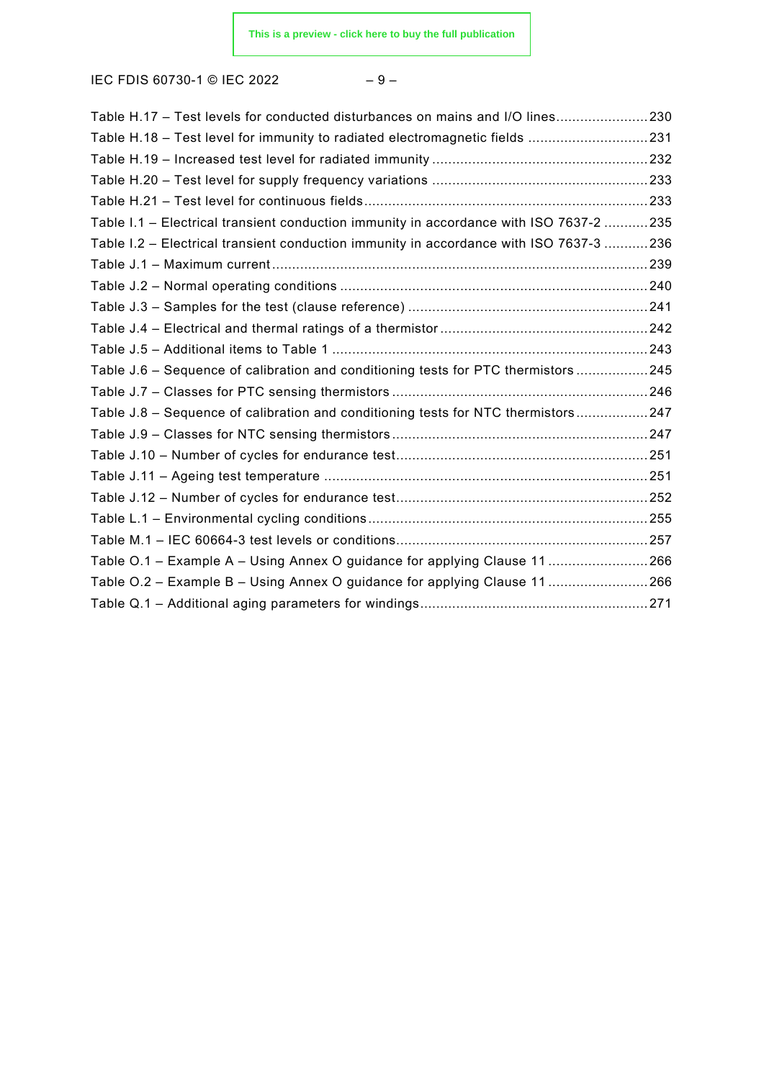IEC FDIS 60730-1 © IEC 2022 – 9 –

| Table H.17 - Test levels for conducted disturbances on mains and I/O lines230          |  |
|----------------------------------------------------------------------------------------|--|
| Table H.18 - Test level for immunity to radiated electromagnetic fields 231            |  |
|                                                                                        |  |
|                                                                                        |  |
|                                                                                        |  |
| Table I.1 - Electrical transient conduction immunity in accordance with ISO 7637-2 235 |  |
| Table I.2 – Electrical transient conduction immunity in accordance with ISO 7637-3 236 |  |
|                                                                                        |  |
|                                                                                        |  |
|                                                                                        |  |
|                                                                                        |  |
|                                                                                        |  |
| Table J.6 - Sequence of calibration and conditioning tests for PTC thermistors 245     |  |
|                                                                                        |  |
| Table J.8 - Sequence of calibration and conditioning tests for NTC thermistors247      |  |
|                                                                                        |  |
|                                                                                        |  |
|                                                                                        |  |
|                                                                                        |  |
|                                                                                        |  |
|                                                                                        |  |
| Table O.1 - Example A - Using Annex O guidance for applying Clause 11 266              |  |
| Table O.2 - Example B - Using Annex O guidance for applying Clause 11 266              |  |
|                                                                                        |  |
|                                                                                        |  |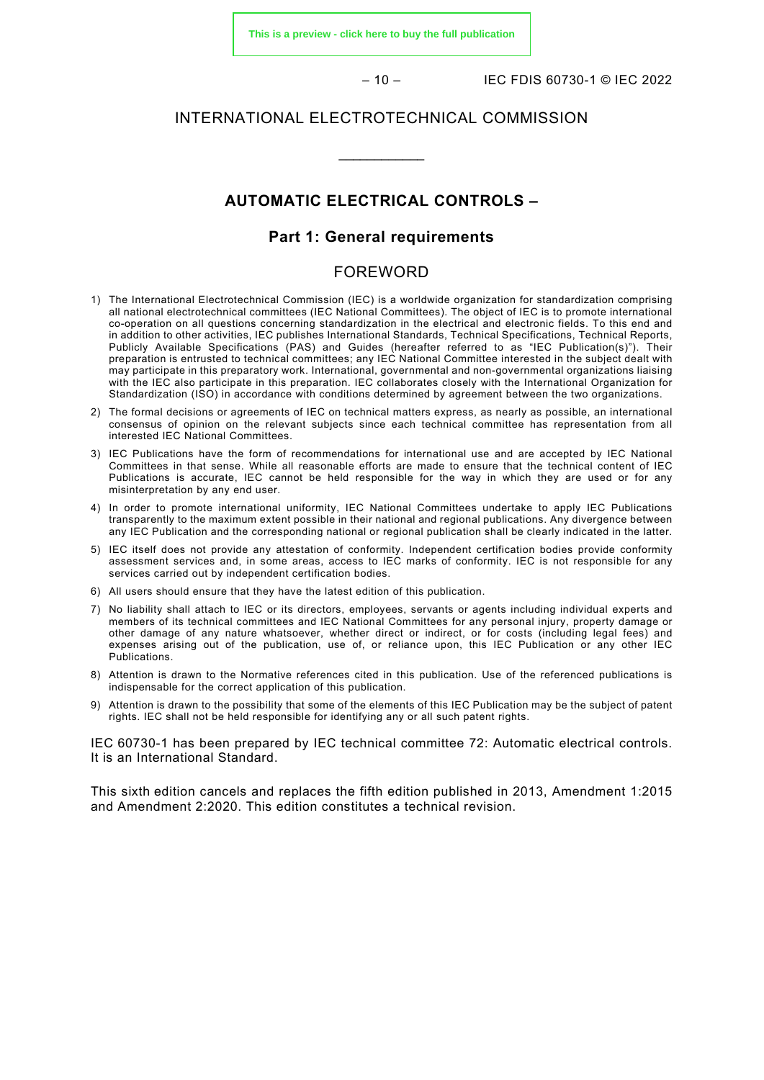**[This is a preview - click here to buy the full publication](https://webstore.iec.ch/publication/76573&preview)**

– 10 – IEC FDIS 60730-1 © IEC 2022

#### INTERNATIONAL ELECTROTECHNICAL COMMISSION

\_\_\_\_\_\_\_\_\_\_\_\_

#### **AUTOMATIC ELECTRICAL CONTROLS –**

#### **Part 1: General requirements**

#### FOREWORD

- <span id="page-10-0"></span>1) The International Electrotechnical Commission (IEC) is a worldwide organization for standardization comprising all national electrotechnical committees (IEC National Committees). The object of IEC is to promote international co-operation on all questions concerning standardization in the electrical and electronic fields. To this end and in addition to other activities, IEC publishes International Standards, Technical Specifications, Technical Reports, Publicly Available Specifications (PAS) and Guides (hereafter referred to as "IEC Publication(s)"). Their preparation is entrusted to technical committees; any IEC National Committee interested in the subject dealt with may participate in this preparatory work. International, governmental and non-governmental organizations liaising with the IEC also participate in this preparation. IEC collaborates closely with the International Organization for Standardization (ISO) in accordance with conditions determined by agreement between the two organizations.
- 2) The formal decisions or agreements of IEC on technical matters express, as nearly as possible, an international consensus of opinion on the relevant subjects since each technical committee has representation from all interested IEC National Committees.
- 3) IEC Publications have the form of recommendations for international use and are accepted by IEC National Committees in that sense. While all reasonable efforts are made to ensure that the technical content of IEC Publications is accurate, IEC cannot be held responsible for the way in which they are used or for any misinterpretation by any end user.
- 4) In order to promote international uniformity, IEC National Committees undertake to apply IEC Publications transparently to the maximum extent possible in their national and regional publications. Any divergence between any IEC Publication and the corresponding national or regional publication shall be clearly indicated in the latter.
- 5) IEC itself does not provide any attestation of conformity. Independent certification bodies provide conformity assessment services and, in some areas, access to IEC marks of conformity. IEC is not responsible for any services carried out by independent certification bodies.
- 6) All users should ensure that they have the latest edition of this publication.
- 7) No liability shall attach to IEC or its directors, employees, servants or agents including individual experts and members of its technical committees and IEC National Committees for any personal injury, property damage or other damage of any nature whatsoever, whether direct or indirect, or for costs (including legal fees) and expenses arising out of the publication, use of, or reliance upon, this IEC Publication or any other IEC Publications.
- 8) Attention is drawn to the Normative references cited in this publication. Use of the referenced publications is indispensable for the correct application of this publication.
- 9) Attention is drawn to the possibility that some of the elements of this IEC Publication may be the subject of patent rights. IEC shall not be held responsible for identifying any or all such patent rights.

IEC 60730-1 has been prepared by IEC technical committee 72: Automatic electrical controls. It is an International Standard.

This sixth edition cancels and replaces the fifth edition published in 2013, Amendment 1:2015 and Amendment 2:2020. This edition constitutes a technical revision.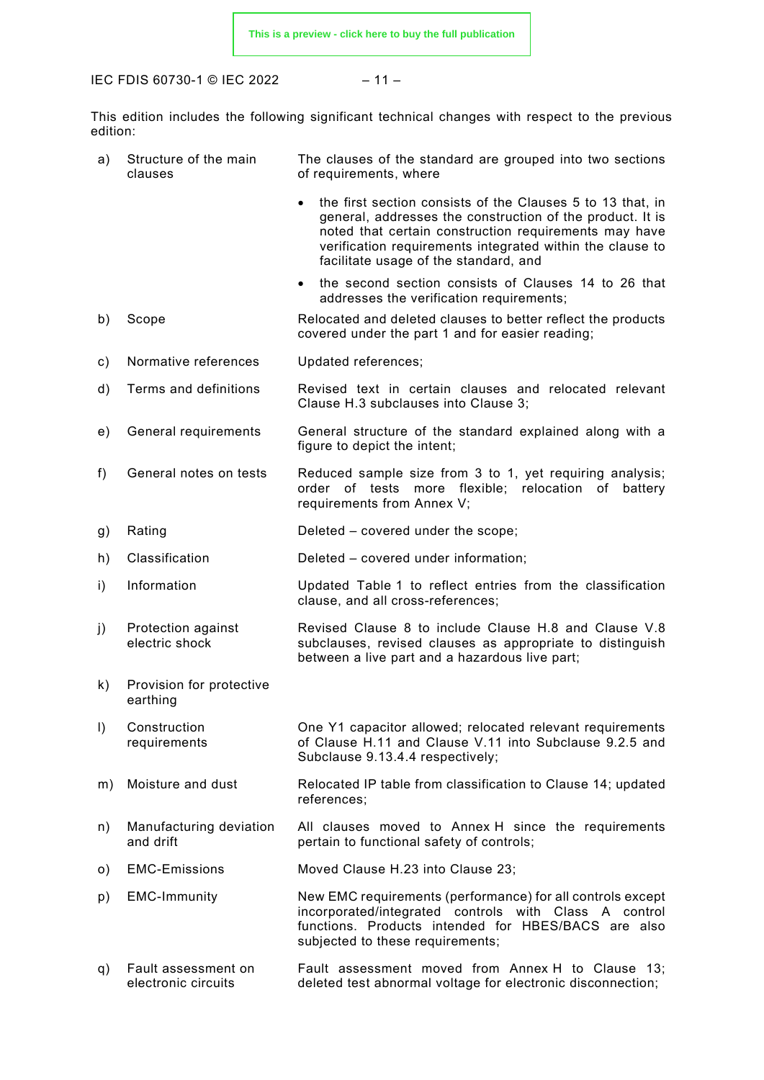$$
=11-
$$

This edition includes the following significant technical changes with respect to the previous edition:

| a) | Structure of the main<br>clauses           | The clauses of the standard are grouped into two sections<br>of requirements, where                                                                                                                                                                                                    |
|----|--------------------------------------------|----------------------------------------------------------------------------------------------------------------------------------------------------------------------------------------------------------------------------------------------------------------------------------------|
|    |                                            | the first section consists of the Clauses 5 to 13 that, in<br>general, addresses the construction of the product. It is<br>noted that certain construction requirements may have<br>verification requirements integrated within the clause to<br>facilitate usage of the standard, and |
|    |                                            | the second section consists of Clauses 14 to 26 that<br>$\bullet$<br>addresses the verification requirements;                                                                                                                                                                          |
| b) | Scope                                      | Relocated and deleted clauses to better reflect the products<br>covered under the part 1 and for easier reading;                                                                                                                                                                       |
| c) | Normative references                       | Updated references;                                                                                                                                                                                                                                                                    |
| d) | Terms and definitions                      | Revised text in certain clauses and relocated relevant<br>Clause H.3 subclauses into Clause 3;                                                                                                                                                                                         |
| e) | General requirements                       | General structure of the standard explained along with a<br>figure to depict the intent;                                                                                                                                                                                               |
| f) | General notes on tests                     | Reduced sample size from 3 to 1, yet requiring analysis;<br>order of tests more flexible; relocation of<br>battery<br>requirements from Annex V;                                                                                                                                       |
| g) | Rating                                     | Deleted – covered under the scope;                                                                                                                                                                                                                                                     |
| h) | Classification                             | Deleted - covered under information;                                                                                                                                                                                                                                                   |
| i) | Information                                | Updated Table 1 to reflect entries from the classification<br>clause, and all cross-references;                                                                                                                                                                                        |
| j) | Protection against<br>electric shock       | Revised Clause 8 to include Clause H.8 and Clause V.8<br>subclauses, revised clauses as appropriate to distinguish<br>between a live part and a hazardous live part;                                                                                                                   |
| k) | Provision for protective<br>earthing       |                                                                                                                                                                                                                                                                                        |
|    | I) Construction<br>requirements            | One Y1 capacitor allowed; relocated relevant requirements<br>of Clause H.11 and Clause V.11 into Subclause 9.2.5 and<br>Subclause 9.13.4.4 respectively;                                                                                                                               |
| m) | Moisture and dust                          | Relocated IP table from classification to Clause 14; updated<br>references;                                                                                                                                                                                                            |
| n) | Manufacturing deviation<br>and drift       | All clauses moved to Annex H since the requirements<br>pertain to functional safety of controls;                                                                                                                                                                                       |
| o) | <b>EMC-Emissions</b>                       | Moved Clause H.23 into Clause 23;                                                                                                                                                                                                                                                      |
| p) | <b>EMC-Immunity</b>                        | New EMC requirements (performance) for all controls except<br>incorporated/integrated controls with Class A control<br>functions. Products intended for HBES/BACS are also<br>subjected to these requirements;                                                                         |
| q) | Fault assessment on<br>electronic circuits | Fault assessment moved from Annex H to Clause 13;<br>deleted test abnormal voltage for electronic disconnection;                                                                                                                                                                       |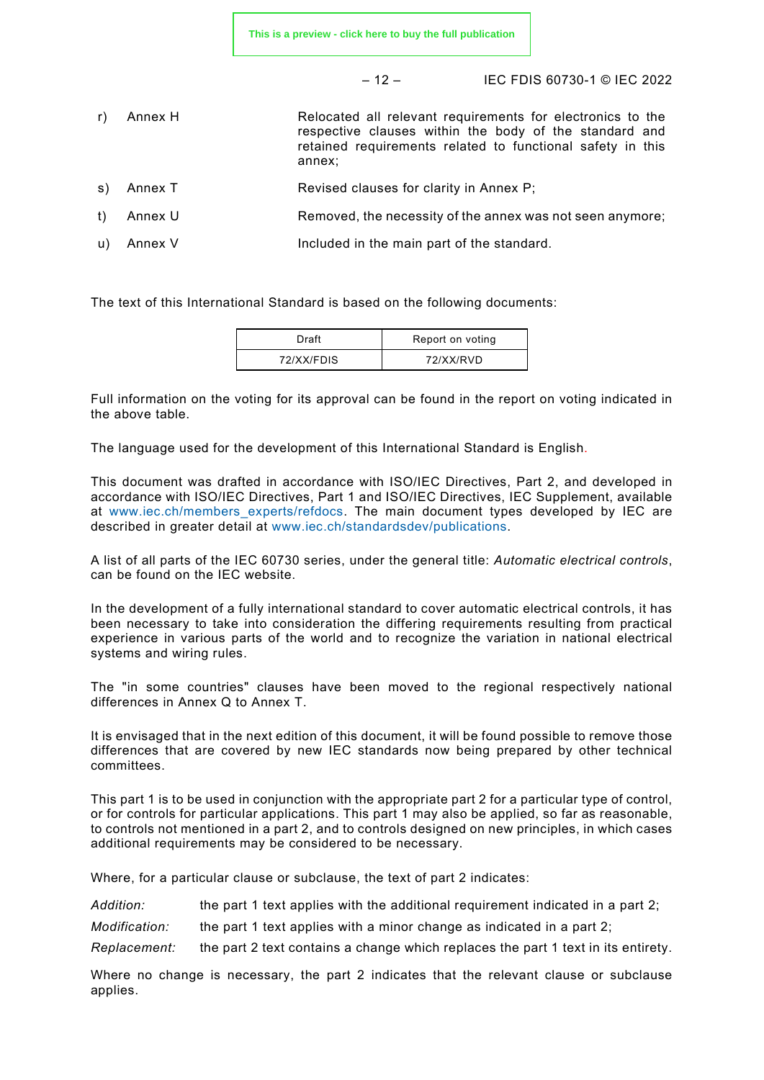**[This is a preview - click here to buy the full publication](https://webstore.iec.ch/publication/76573&preview)**

– 12 – IEC FDIS 60730-1 © IEC 2022

| r) | Annex H | Relocated all relevant requirements for electronics to the<br>respective clauses within the body of the standard and<br>retained requirements related to functional safety in this<br>annex: |
|----|---------|----------------------------------------------------------------------------------------------------------------------------------------------------------------------------------------------|
| s) | Annex T | Revised clauses for clarity in Annex P;                                                                                                                                                      |
| t  | Annex U | Removed, the necessity of the annex was not seen anymore;                                                                                                                                    |
| u) | Annex V | Included in the main part of the standard.                                                                                                                                                   |

The text of this International Standard is based on the following documents:

| Draft      | Report on voting |
|------------|------------------|
| 72/XX/FDIS | 72/XX/RVD        |

Full information on the voting for its approval can be found in the report on voting indicated in the above table.

The language used for the development of this International Standard is English.

This document was drafted in accordance with ISO/IEC Directives, Part 2, and developed in accordance with ISO/IEC Directives, Part 1 and ISO/IEC Directives, IEC Supplement, available at www.iec.ch/members experts/refdocs. The main document types developed by IEC are described in greater detail at [www.iec.ch/standardsdev/publications.](http://www.iec.ch/standardsdev/publications)

A list of all parts of the IEC 60730 series, under the general title: *Automatic electrical controls*, can be found on the IEC website.

In the development of a fully international standard to cover automatic electrical controls, it has been necessary to take into consideration the differing requirements resulting from practical experience in various parts of the world and to recognize the variation in national electrical systems and wiring rules.

The "in some countries" clauses have been moved to the regional respectively national differences in Annex Q to Annex T.

It is envisaged that in the next edition of this document, it will be found possible to remove those differences that are covered by new IEC standards now being prepared by other technical committees.

This part 1 is to be used in conjunction with the appropriate part 2 for a particular type of control, or for controls for particular applications. This part 1 may also be applied, so far as reasonable, to controls not mentioned in a part 2, and to controls designed on new principles, in which cases additional requirements may be considered to be necessary.

Where, for a particular clause or subclause, the text of part 2 indicates:

| Addition:     | the part 1 text applies with the additional requirement indicated in a part 2;    |
|---------------|-----------------------------------------------------------------------------------|
| Modification: | the part 1 text applies with a minor change as indicated in a part 2;             |
| Replacement:  | the part 2 text contains a change which replaces the part 1 text in its entirety. |

Where no change is necessary, the part 2 indicates that the relevant clause or subclause applies.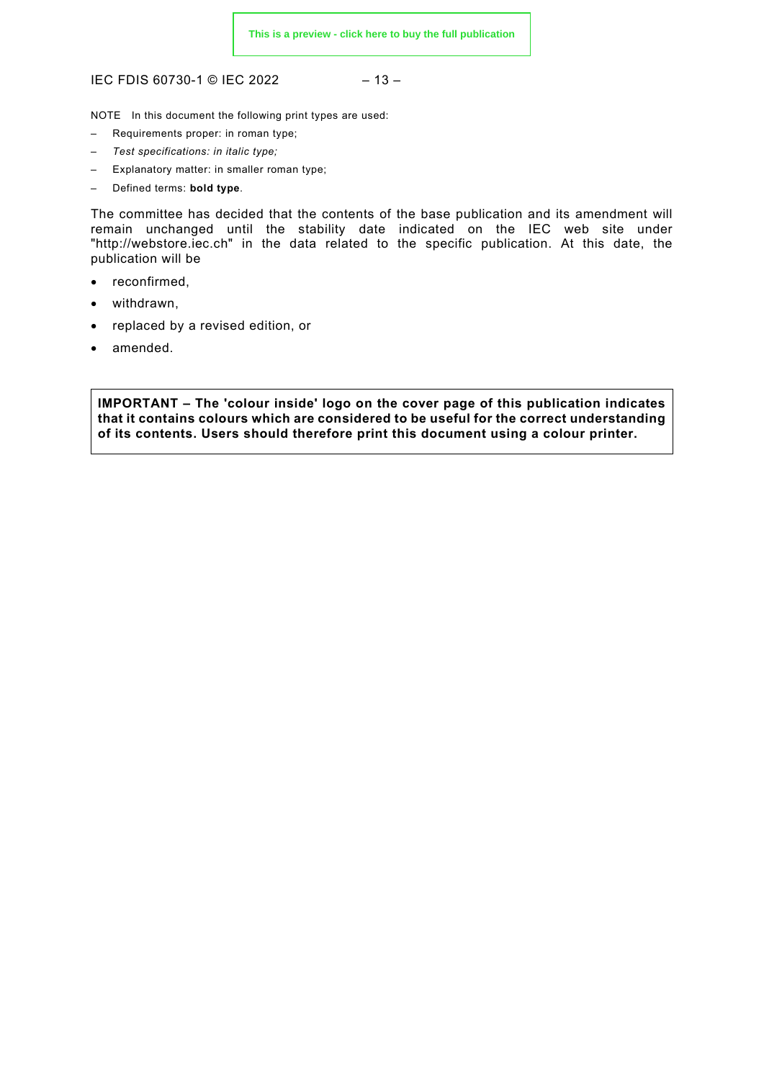IEC FDIS 60730-1 © IEC 2022 - 13 -

NOTE In this document the following print types are used:

- Requirements proper: in roman type;
- *Test specifications: in italic type;*
- Explanatory matter: in smaller roman type;
- Defined terms: **bold type**.

The committee has decided that the contents of the base publication and its amendment will remain unchanged until the stability date indicated on the IEC web site under "http://webstore.iec.ch" in the data related to the specific publication. At this date, the publication will be

- reconfirmed,
- withdrawn,
- replaced by a revised edition, or
- amended.

**IMPORTANT – The 'colour inside' logo on the cover page of this publication indicates that it contains colours which are considered to be useful for the correct understanding of its contents. Users should therefore print this document using a colour printer.**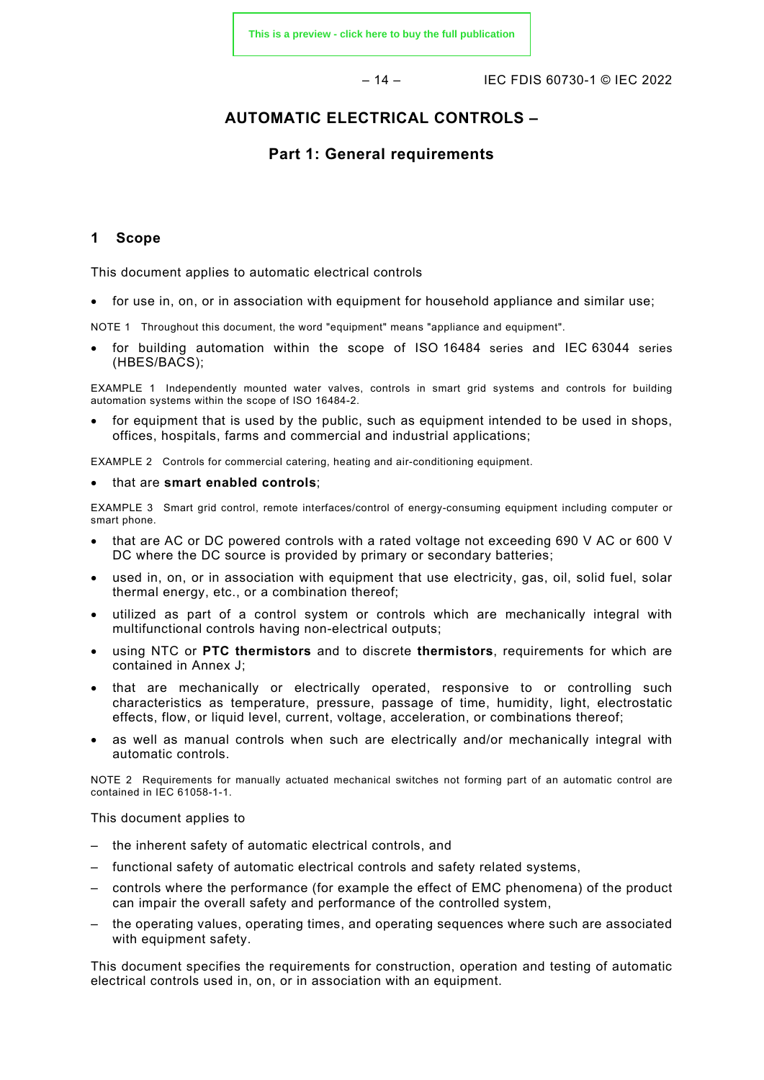– 14 – IEC FDIS 60730-1 © IEC 2022

#### **AUTOMATIC ELECTRICAL CONTROLS –**

#### **Part 1: General requirements**

#### <span id="page-14-0"></span>**1 Scope**

This document applies to automatic electrical controls

• for use in, on, or in association with equipment for household appliance and similar use;

NOTE 1 Throughout this document, the word "equipment" means "appliance and equipment".

• for building automation within the scope of ISO 16484 series and IEC 63044 series (HBES/BACS);

EXAMPLE 1 Independently mounted water valves, controls in smart grid systems and controls for building automation systems within the scope of ISO 16484-2.

for equipment that is used by the public, such as equipment intended to be used in shops, offices, hospitals, farms and commercial and industrial applications;

EXAMPLE 2 Controls for commercial catering, heating and air-conditioning equipment.

• that are **smart enabled controls**;

EXAMPLE 3 Smart grid control, remote interfaces/control of energy-consuming equipment including computer or smart phone.

- that are AC or DC powered controls with a rated voltage not exceeding 690 V AC or 600 V DC where the DC source is provided by primary or secondary batteries;
- used in, on, or in association with equipment that use electricity, gas, oil, solid fuel, solar thermal energy, etc., or a combination thereof;
- utilized as part of a control system or controls which are mechanically integral with multifunctional controls having non-electrical outputs;
- using NTC or **PTC thermistors** and to discrete **thermistors**, requirements for which are contained in Annex J;
- that are mechanically or electrically operated, responsive to or controlling such characteristics as temperature, pressure, passage of time, humidity, light, electrostatic effects, flow, or liquid level, current, voltage, acceleration, or combinations thereof;
- as well as manual controls when such are electrically and/or mechanically integral with automatic controls.

NOTE 2 Requirements for manually actuated mechanical switches not forming part of an automatic control are contained in IEC 61058-1-1.

#### This document applies to

- the inherent safety of automatic electrical controls, and
- functional safety of automatic electrical controls and safety related systems,
- controls where the performance (for example the effect of EMC phenomena) of the product can impair the overall safety and performance of the controlled system,
- the operating values, operating times, and operating sequences where such are associated with equipment safety.

This document specifies the requirements for construction, operation and testing of automatic electrical controls used in, on, or in association with an equipment.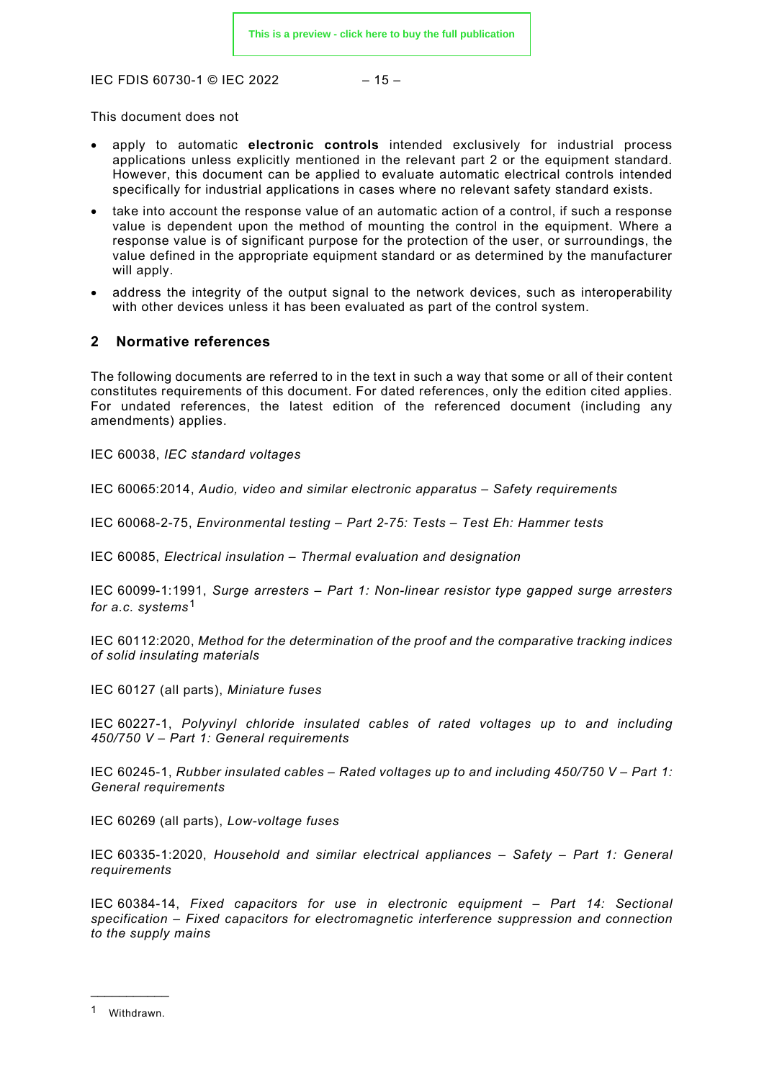$$
-15-
$$

This document does not

- apply to automatic **electronic controls** intended exclusively for industrial process applications unless explicitly mentioned in the relevant part 2 or the equipment standard. However, this document can be applied to evaluate automatic electrical controls intended specifically for industrial applications in cases where no relevant safety standard exists.
- take into account the response value of an automatic action of a control, if such a response value is dependent upon the method of mounting the control in the equipment. Where a response value is of significant purpose for the protection of the user, or surroundings, the value defined in the appropriate equipment standard or as determined by the manufacturer will apply.
- address the integrity of the output signal to the network devices, such as interoperability with other devices unless it has been evaluated as part of the control system.

#### <span id="page-15-0"></span>**2 Normative references**

The following documents are referred to in the text in such a way that some or all of their content constitutes requirements of this document. For dated references, only the edition cited applies. For undated references, the latest edition of the referenced document (including any amendments) applies.

IEC 60038, *IEC standard voltages*

IEC 60065:2014, *Audio, video and similar electronic apparatus – Safety requirements*

IEC 60068-2-75, *Environmental testing – Part 2-75: Tests – Test Eh: Hammer tests*

IEC 60085, *Electrical insulation – Thermal evaluation and designation* 

IEC 60099-1:1991, *Surge arresters – Part 1: Non-linear resistor type gapped surge arresters for a.c. systems*[1](#page-15-1)

IEC 60112:2020, *Method for the determination of the proof and the comparative tracking indices of solid insulating materials*

IEC 60127 (all parts), *Miniature fuses* 

IEC 60227-1, *Polyvinyl chloride insulated cables of rated voltages up to and including 450/750 V – Part 1: General requirements*

IEC 60245-1, *Rubber insulated cables – Rated voltages up to and including 450/750 V – Part 1: General requirements*

IEC 60269 (all parts), *Low-voltage fuses* 

IEC 60335-1:2020, *Household and similar electrical appliances – Safety – Part 1: General requirements*

IEC 60384-14, *Fixed capacitors for use in electronic equipment – Part 14: Sectional specification – Fixed capacitors for electromagnetic interference suppression and connection to the supply mains*

<span id="page-15-1"></span>\_\_\_\_\_\_\_\_\_\_\_ 1 Withdrawn.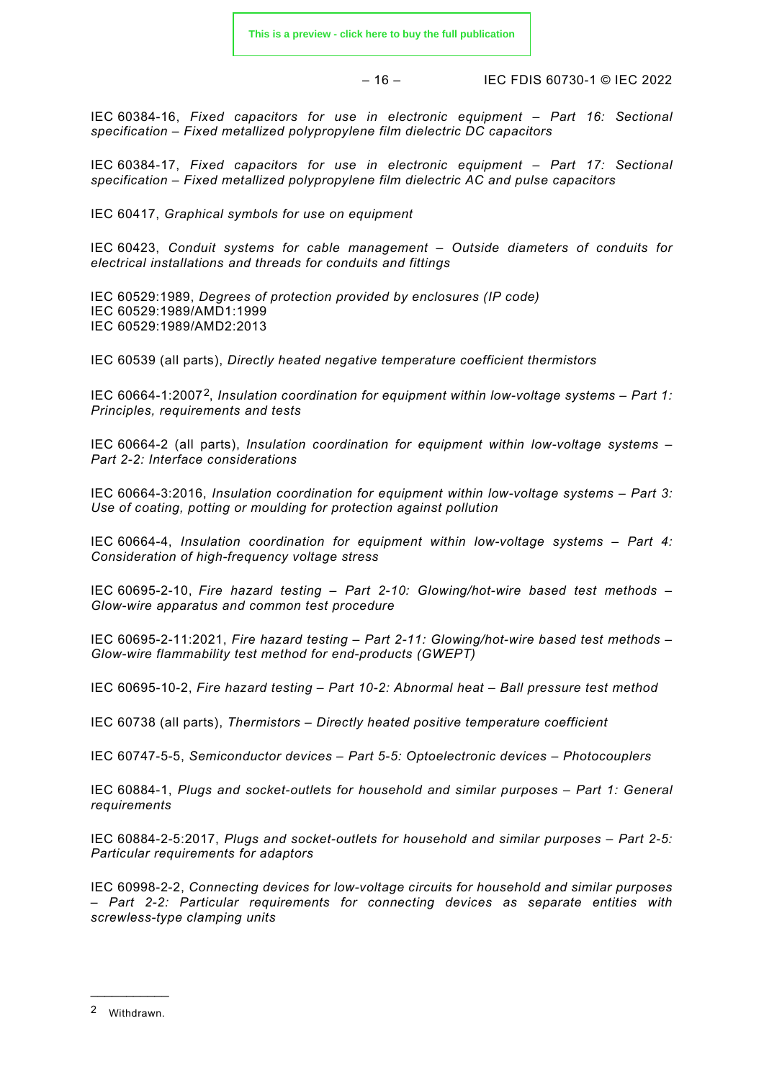– 16 – IEC FDIS 60730-1 © IEC 2022

IEC 60384-16, *Fixed capacitors for use in electronic equipment – Part 16: Sectional specification – Fixed metallized polypropylene film dielectric DC capacitors*

IEC 60384-17, *Fixed capacitors for use in electronic equipment – Part 17: Sectional specification – Fixed metallized polypropylene film dielectric AC and pulse capacitors*

IEC 60417, *Graphical symbols for use on equipment*

IEC 60423, *Conduit systems for cable management – Outside diameters of conduits for electrical installations and threads for conduits and fittings*

IEC 60529:1989, *Degrees of protection provided by enclosures (IP code)* IEC 60529:1989/AMD1:1999 IEC 60529:1989/AMD2:2013

IEC 60539 (all parts), *Directly heated negative temperature coefficient thermistors*

IEC 60664-1:2007[2](#page-16-0), *Insulation coordination for equipment within low-voltage systems – Part 1: Principles, requirements and tests*

IEC 60664-2 (all parts), *Insulation coordination for equipment within low-voltage systems – Part 2-2: Interface considerations*

IEC 60664-3:2016, *Insulation coordination for equipment within low-voltage systems – Part 3: Use of coating, potting or moulding for protection against pollution*

IEC 60664-4, *Insulation coordination for equipment within low-voltage systems – Part 4: Consideration of high-frequency voltage stress*

IEC 60695-2-10, *Fire hazard testing – Part 2-10: Glowing/hot-wire based test methods – Glow-wire apparatus and common test procedure*

IEC 60695-2-11:2021, *Fire hazard testing – Part 2-11: Glowing/hot-wire based test methods – Glow-wire flammability test method for end-products (GWEPT)*

IEC 60695-10-2, *Fire hazard testing – Part 10-2: Abnormal heat – Ball pressure test method*

IEC 60738 (all parts), *Thermistors – Directly heated positive temperature coefficient* 

IEC 60747-5-5, *Semiconductor devices – Part 5-5: Optoelectronic devices – Photocouplers*

IEC 60884-1, *Plugs and socket-outlets for household and similar purposes – Part 1: General requirements*

IEC 60884-2-5:2017, *Plugs and socket-outlets for household and similar purposes – Part 2-5: Particular requirements for adaptors*

IEC 60998-2-2, *Connecting devices for low-voltage circuits for household and similar purposes – Part 2-2: Particular requirements for connecting devices as separate entities with screwless-type clamping units*

<span id="page-16-0"></span>\_\_\_\_\_\_\_\_\_\_\_ 2 Withdrawn.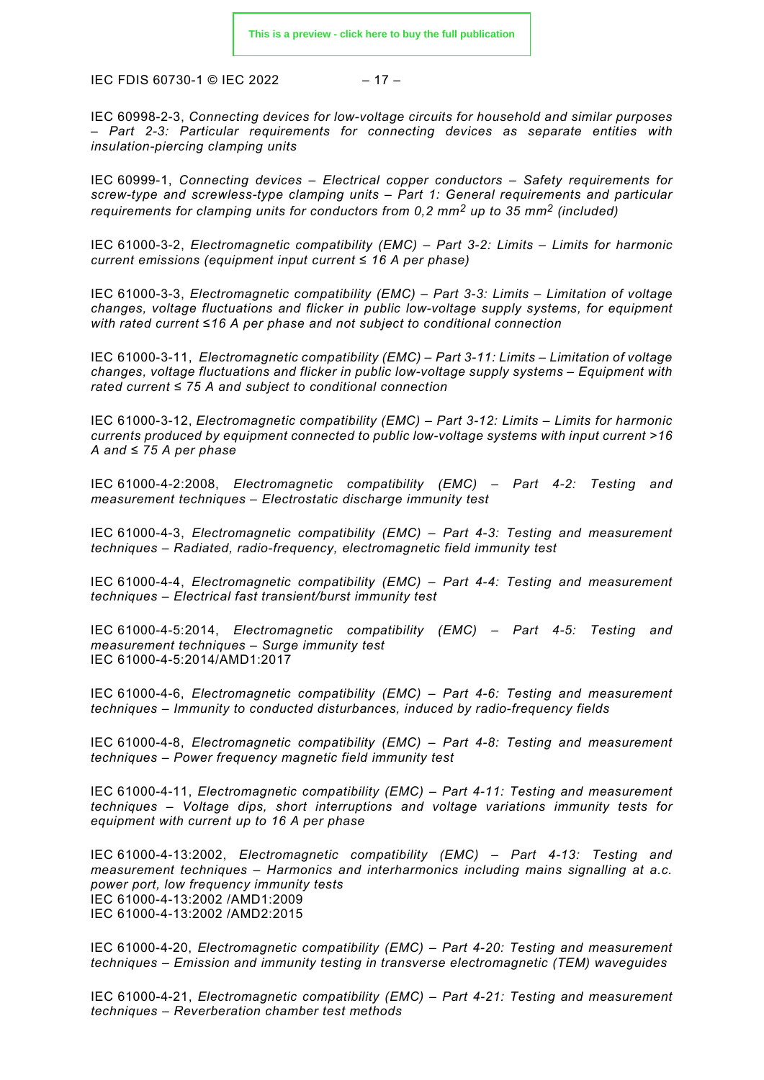$$
-17-
$$

IEC 60998-2-3, *Connecting devices for low-voltage circuits for household and similar purposes – Part 2-3: Particular requirements for connecting devices as separate entities with insulation-piercing clamping units*

IEC 60999-1, *Connecting devices – Electrical copper conductors – Safety requirements for screw-type and screwless-type clamping units – Part 1: General requirements and particular requirements for clamping units for conductors from 0,2 mm<sup>2</sup> up to 35 mm<sup>2</sup> (included)*

IEC 61000-3-2, *Electromagnetic compatibility (EMC) – Part 3-2: Limits – Limits for harmonic current emissions (equipment input current* ≤ *16 A per phase)*

IEC 61000-3-3, *Electromagnetic compatibility (EMC) – Part 3-3: Limits – Limitation of voltage changes, voltage fluctuations and flicker in public low-voltage supply systems, for equipment with rated current* ≤*16 A per phase and not subject to conditional connection*

IEC 61000-3-11, *Electromagnetic compatibility (EMC) – Part 3-11: Limits – Limitation of voltage changes, voltage fluctuations and flicker in public low-voltage supply systems – Equipment with rated current ≤ 75 A and subject to conditional connection*

IEC 61000-3-12, *Electromagnetic compatibility (EMC) – Part 3-12: Limits – Limits for harmonic currents produced by equipment connected to public low-voltage systems with input current >16 A and ≤ 75 A per phase*

IEC 61000-4-2:2008, *Electromagnetic compatibility (EMC) – Part 4-2: Testing and measurement techniques – Electrostatic discharge immunity test*

IEC 61000-4-3, *Electromagnetic compatibility (EMC) – Part 4-3: Testing and measurement techniques – Radiated, radio-frequency, electromagnetic field immunity test*

IEC 61000-4-4, *Electromagnetic compatibility (EMC) – Part 4-4: Testing and measurement techniques – Electrical fast transient/burst immunity test* 

IEC 61000-4-5:2014, *Electromagnetic compatibility (EMC) – Part 4-5: Testing and measurement techniques – Surge immunity test*  IEC 61000-4-5:2014/AMD1:2017

IEC 61000-4-6, *Electromagnetic compatibility (EMC) – Part 4-6: Testing and measurement techniques – Immunity to conducted disturbances, induced by radio-frequency fields* 

IEC 61000-4-8, *Electromagnetic compatibility (EMC) – Part 4-8: Testing and measurement techniques – Power frequency magnetic field immunity test*

IEC 61000-4-11, *Electromagnetic compatibility (EMC) – Part 4-11: Testing and measurement techniques – Voltage dips, short interruptions and voltage variations immunity tests for equipment with current up to 16 A per phase*

IEC 61000-4-13:2002, *Electromagnetic compatibility (EMC) – Part 4-13: Testing and measurement techniques – Harmonics and interharmonics including mains signalling at a.c. power port, low frequency immunity tests*  IEC 61000-4-13:2002 /AMD1:2009 IEC 61000-4-13:2002 /AMD2:2015

IEC 61000-4-20, *Electromagnetic compatibility (EMC) – Part 4-20: Testing and measurement techniques – Emission and immunity testing in transverse electromagnetic (TEM) waveguides*

IEC 61000-4-21, *Electromagnetic compatibility (EMC) – Part 4-21: Testing and measurement techniques – Reverberation chamber test methods*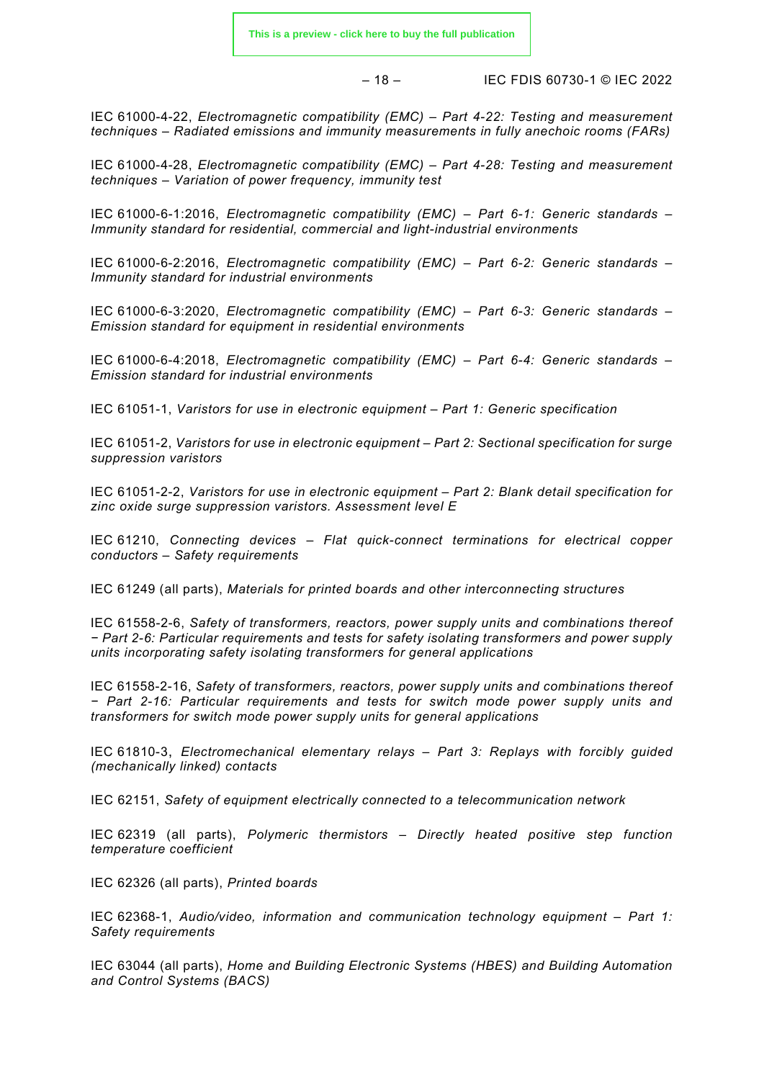– 18 – IEC FDIS 60730-1 © IEC 2022

IEC 61000-4-22, *Electromagnetic compatibility (EMC) – Part 4-22: Testing and measurement techniques – Radiated emissions and immunity measurements in fully anechoic rooms (FARs)*

IEC 61000-4-28, *Electromagnetic compatibility (EMC) – Part 4-28: Testing and measurement techniques – Variation of power frequency, immunity test* 

IEC 61000-6-1:2016, *Electromagnetic compatibility (EMC) – Part 6-1: Generic standards – Immunity standard for residential, commercial and light-industrial environments*

IEC 61000-6-2:2016, *Electromagnetic compatibility (EMC) – Part 6-2: Generic standards – Immunity standard for industrial environments*

IEC 61000-6-3:2020, *Electromagnetic compatibility (EMC) – Part 6-3: Generic standards – Emission standard for equipment in residential environments*

IEC 61000-6-4:2018, *Electromagnetic compatibility (EMC) – Part 6-4: Generic standards – Emission standard for industrial environments*

IEC 61051-1, *Varistors for use in electronic equipment – Part 1: Generic specification*

IEC 61051-2, *Varistors for use in electronic equipment – Part 2: Sectional specification for surge suppression varistors*

IEC 61051-2-2, *Varistors for use in electronic equipment – Part 2: Blank detail specification for zinc oxide surge suppression varistors. Assessment level E*

IEC 61210, *Connecting devices – Flat quick-connect terminations for electrical copper conductors – Safety requirements*

IEC 61249 (all parts), *Materials for printed boards and other interconnecting structures*

IEC 61558-2-6, *Safety of transformers, reactors, power supply units and combinations thereof − Part 2-6: Particular requirements and tests for safety isolating transformers and power supply units incorporating safety isolating transformers for general applications*

IEC 61558-2-16, *Safety of transformers, reactors, power supply units and combinations thereof − Part 2-16: Particular requirements and tests for switch mode power supply units and transformers for switch mode power supply units for general applications*

IEC 61810-3, *Electromechanical elementary relays – Part 3: Replays with forcibly guided (mechanically linked) contacts*

IEC 62151, *Safety of equipment electrically connected to a telecommunication network*

IEC 62319 (all parts), *Polymeric thermistors – Directly heated positive step function temperature coefficient*

IEC 62326 (all parts), *Printed boards*

IEC 62368-1, *Audio/video, information and communication technology equipment – Part 1: Safety requirements*

IEC 63044 (all parts), *Home and Building Electronic Systems (HBES) and Building Automation and Control Systems (BACS)*